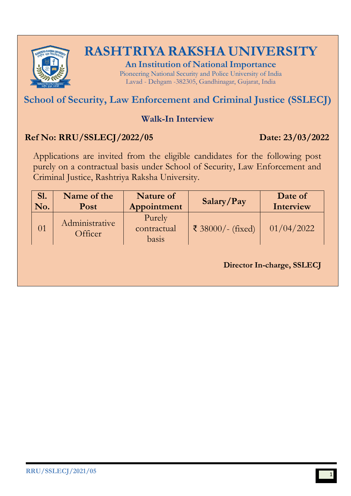

**An Institution of National Importance** Pioneering National Security and Police University of India Lavad - Dehgam -382305, Gandhinagar, Gujarat, India

# **School of Security, Law Enforcement and Criminal Justice (SSLECJ)**

### **Walk-In Interview**

### **Ref No: RRU/SSLECJ/2022/05 Date: 23/03/2022**

Applications are invited from the eligible candidates for the following post purely on a contractual basis under School of Security, Law Enforcement and Criminal Justice, Rashtriya Raksha University.

|                                              |                                |                   | Interview  |
|----------------------------------------------|--------------------------------|-------------------|------------|
| Administrative<br>$\overline{01}$<br>Officer | Purely<br>contractual<br>basis | ₹ 38000/- (fixed) | 01/04/2022 |

**Director In-charge, SSLECJ**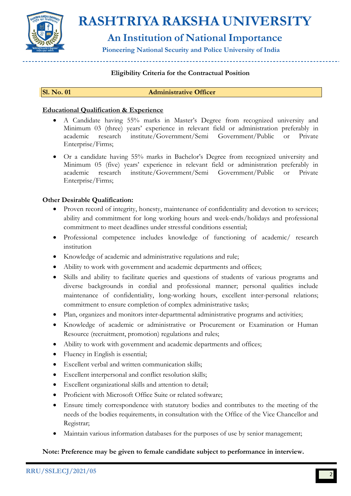

## **An Institution of National Importance**

**Pioneering National Security and Police University of India**

### **Eligibility Criteria for the Contractual Position**

#### **Sl. No. 01 Administrative Officer**

#### **Educational Qualification & Experience**

- A Candidate having 55% marks in Master's Degree from recognized university and Minimum 03 (three) years' experience in relevant field or administration preferably in academic research institute/Government/Semi Government/Public or Private Enterprise/Firms;
- Or a candidate having 55% marks in Bachelor's Degree from recognized university and Minimum 05 (five) years' experience in relevant field or administration preferably in academic research institute/Government/Semi Government/Public or Private Enterprise/Firms;

#### **Other Desirable Qualification:**

- Proven record of integrity, honesty, maintenance of confidentiality and devotion to services; ability and commitment for long working hours and week-ends/holidays and professional commitment to meet deadlines under stressful conditions essential;
- Professional competence includes knowledge of functioning of academic/ research institution
- Knowledge of academic and administrative regulations and rule;
- Ability to work with government and academic departments and offices;
- Skills and ability to facilitate queries and questions of students of various programs and diverse backgrounds in cordial and professional manner; personal qualities include maintenance of confidentiality, long-working hours, excellent inter-personal relations; commitment to ensure completion of complex administrative tasks;
- Plan, organizes and monitors inter-departmental administrative programs and activities;
- Knowledge of academic or administrative or Procurement or Examination or Human Resource (recruitment, promotion) regulations and rules;
- Ability to work with government and academic departments and offices;
- Fluency in English is essential;
- Excellent verbal and written communication skills;
- Excellent interpersonal and conflict resolution skills;
- Excellent organizational skills and attention to detail;
- Proficient with Microsoft Office Suite or related software;
- Ensure timely correspondence with statutory bodies and contributes to the meeting of the needs of the bodies requirements, in consultation with the Office of the Vice Chancellor and Registrar;
- Maintain various information databases for the purposes of use by senior management;

#### **Note: Preference may be given to female candidate subject to performance in interview.**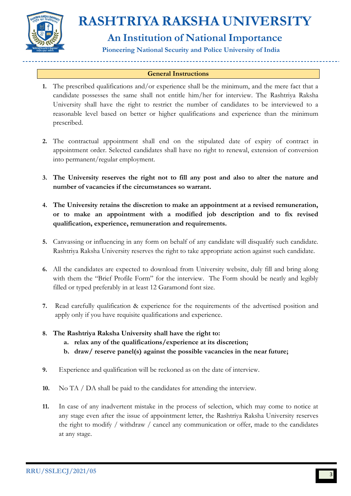

# **An Institution of National Importance**

**Pioneering National Security and Police University of India**

#### **General Instructions**

- **1.** The prescribed qualifications and/or experience shall be the minimum, and the mere fact that a candidate possesses the same shall not entitle him/her for interview. The Rashtriya Raksha University shall have the right to restrict the number of candidates to be interviewed to a reasonable level based on better or higher qualifications and experience than the minimum prescribed.
- **2.** The contractual appointment shall end on the stipulated date of expiry of contract in appointment order. Selected candidates shall have no right to renewal, extension of conversion into permanent/regular employment.
- **3. The University reserves the right not to fill any post and also to alter the nature and number of vacancies if the circumstances so warrant.**
- **4. The University retains the discretion to make an appointment at a revised remuneration, or to make an appointment with a modified job description and to fix revised qualification, experience, remuneration and requirements.**
- **5.** Canvassing or influencing in any form on behalf of any candidate will disqualify such candidate. Rashtriya Raksha University reserves the right to take appropriate action against such candidate.
- **6.** All the candidates are expected to download from University website, duly fill and bring along with them the "Brief Profile Form" for the interview. The Form should be neatly and legibly filled or typed preferably in at least 12 Garamond font size.
- **7.** Read carefully qualification & experience for the requirements of the advertised position and apply only if you have requisite qualifications and experience.
- **8. The Rashtriya Raksha University shall have the right to:** 
	- **a. relax any of the qualifications/experience at its discretion;**
	- **b. draw/ reserve panel(s) against the possible vacancies in the near future;**
- **9.** Experience and qualification will be reckoned as on the date of interview.
- **10.** No TA / DA shall be paid to the candidates for attending the interview.
- **11.** In case of any inadvertent mistake in the process of selection, which may come to notice at any stage even after the issue of appointment letter, the Rashtriya Raksha University reserves the right to modify / withdraw / cancel any communication or offer, made to the candidates at any stage.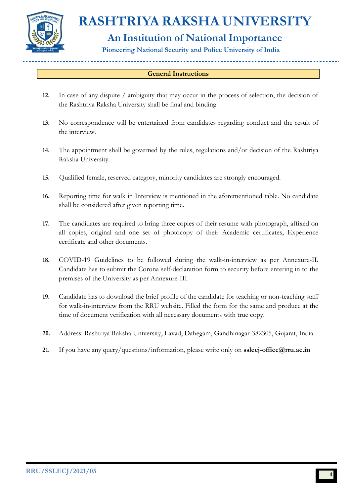

# **An Institution of National Importance**

**Pioneering National Security and Police University of India**

### **General Instructions**

- **12.** In case of any dispute / ambiguity that may occur in the process of selection, the decision of the Rashtriya Raksha University shall be final and binding.
- **13.** No correspondence will be entertained from candidates regarding conduct and the result of the interview.
- **14.** The appointment shall be governed by the rules, regulations and/or decision of the Rashtriya Raksha University.
- **15.** Qualified female, reserved category, minority candidates are strongly encouraged.
- **16.** Reporting time for walk in Interview is mentioned in the aforementioned table. No candidate shall be considered after given reporting time.
- **17.** The candidates are required to bring three copies of their resume with photograph, affixed on all copies, original and one set of photocopy of their Academic certificates, Experience certificate and other documents.
- **18.** COVID-19 Guidelines to be followed during the walk-in-interview as per Annexure-II. Candidate has to submit the Corona self-declaration form to security before entering in to the premises of the University as per Annexure-III.
- **19.** Candidate has to download the brief profile of the candidate for teaching or non-teaching staff for walk-in-interview from the RRU website. Filled the form for the same and produce at the time of document verification with all necessary documents with true copy.
- **20.** Address: Rashtriya Raksha University, Lavad, Dahegam, Gandhinagar-382305, Gujarat, India.
- **21.** If you have any query/questions/information, please write only on **[sslecj-office@rru.ac.in](mailto:sslecj-office@rru.ac.in)**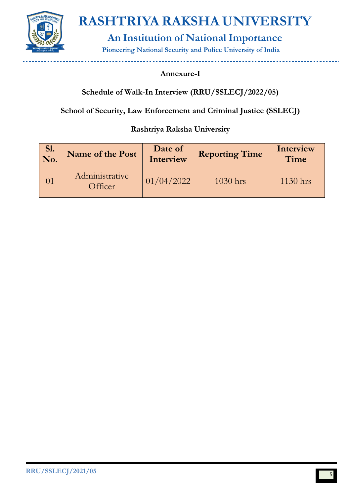

**An Institution of National Importance**

**Pioneering National Security and Police University of India**

### **Annexure-I**

### **Schedule of Walk-In Interview (RRU/SSLECJ/2022/05)**

**School of Security, Law Enforcement and Criminal Justice (SSLECJ)**

### **Rashtriya Raksha University**

| SI.<br>No. | Name of the Post          | Date of<br>Interview | <b>Reporting Time</b> | Interview<br>Time |
|------------|---------------------------|----------------------|-----------------------|-------------------|
|            | Administrative<br>Officer | 01/04/2022           | $1030$ hrs            | $1130$ hrs        |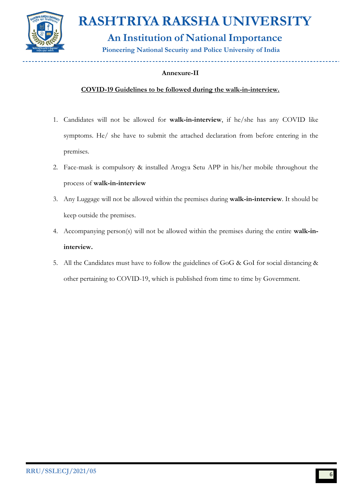

**An Institution of National Importance**

**Pioneering National Security and Police University of India**

### **Annexure-II**

### **COVID-19 Guidelines to be followed during the walk-in-interview.**

- 1. Candidates will not be allowed for **walk-in-interview**, if he/she has any COVID like symptoms. He/ she have to submit the attached declaration from before entering in the premises.
- 2. Face-mask is compulsory & installed Arogya Setu APP in his/her mobile throughout the process of **walk-in-interview**
- 3. Any Luggage will not be allowed within the premises during **walk-in-interview**. It should be keep outside the premises.
- 4. Accompanying person(s) will not be allowed within the premises during the entire **walk-ininterview.**
- 5. All the Candidates must have to follow the guidelines of GoG & GoI for social distancing & other pertaining to COVID-19, which is published from time to time by Government.